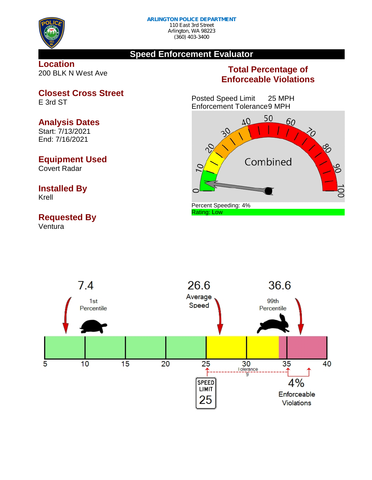

## **Speed Enforcement Evaluator**

**Location** 200 BLK N West Ave

## **Total Percentage of Enforceable Violations**

Posted Speed Limit 25 MPH Enforcement Tolerance9 MPH





**Closest Cross Street**

E 3rd ST

## **Analysis Dates**

Start: 7/13/2021 End: 7/16/2021

## **Equipment Used**

Covert Radar

# **Installed By**

Krell

## **Requested By**

Ventura